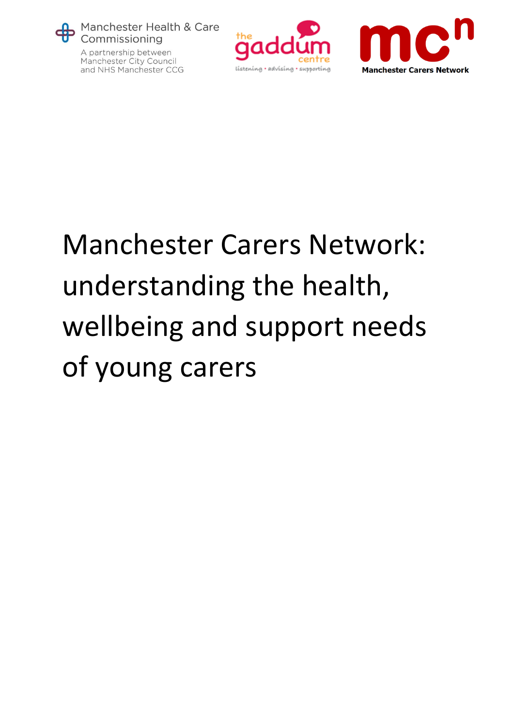

A partnership between Manchester City Council and NHS Manchester CCG





# Manchester Carers Network: understanding the health, wellbeing and support needs of young carers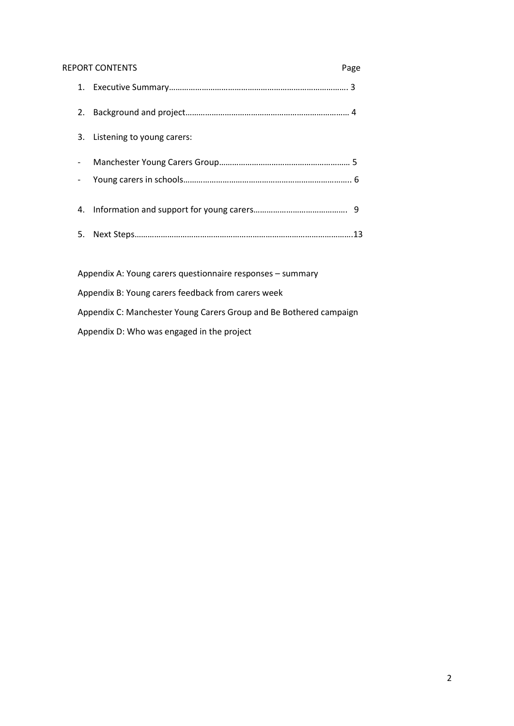#### REPORT CONTENTS Page

|    | 3. Listening to young carers: |  |
|----|-------------------------------|--|
|    |                               |  |
|    |                               |  |
|    |                               |  |
| 5. |                               |  |
|    |                               |  |

Appendix A: Young carers questionnaire responses – summary Appendix B: Young carers feedback from carers week Appendix C: Manchester Young Carers Group and Be Bothered campaign Appendix D: Who was engaged in the project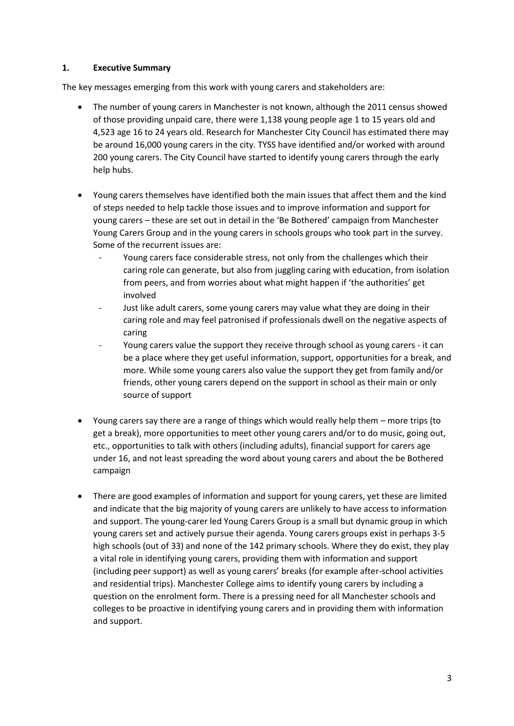# **1. Executive Summary**

The key messages emerging from this work with young carers and stakeholders are:

- The number of young carers in Manchester is not known, although the 2011 census showed of those providing unpaid care, there were 1,138 young people age 1 to 15 years old and 4,523 age 16 to 24 years old. Research for Manchester City Council has estimated there may be around 16,000 young carers in the city. TYSS have identified and/or worked with around 200 young carers. The City Council have started to identify young carers through the early help hubs.
- Young carers themselves have identified both the main issues that affect them and the kind of steps needed to help tackle those issues and to improve information and support for young carers – these are set out in detail in the 'Be Bothered' campaign from Manchester Young Carers Group and in the young carers in schools groups who took part in the survey. Some of the recurrent issues are:
	- Young carers face considerable stress, not only from the challenges which their caring role can generate, but also from juggling caring with education, from isolation from peers, and from worries about what might happen if 'the authorities' get involved
	- Just like adult carers, some young carers may value what they are doing in their caring role and may feel patronised if professionals dwell on the negative aspects of caring
	- Young carers value the support they receive through school as young carers it can be a place where they get useful information, support, opportunities for a break, and more. While some young carers also value the support they get from family and/or friends, other young carers depend on the support in school as their main or only source of support
- Young carers say there are a range of things which would really help them more trips (to get a break), more opportunities to meet other young carers and/or to do music, going out, etc., opportunities to talk with others (including adults), financial support for carers age under 16, and not least spreading the word about young carers and about the be Bothered campaign
- There are good examples of information and support for young carers, yet these are limited and indicate that the big majority of young carers are unlikely to have access to information and support. The young-carer led Young Carers Group is a small but dynamic group in which young carers set and actively pursue their agenda. Young carers groups exist in perhaps 3-5 high schools (out of 33) and none of the 142 primary schools. Where they do exist, they play a vital role in identifying young carers, providing them with information and support (including peer support) as well as young carers' breaks (for example after-school activities and residential trips). Manchester College aims to identify young carers by including a question on the enrolment form. There is a pressing need for all Manchester schools and colleges to be proactive in identifying young carers and in providing them with information and support.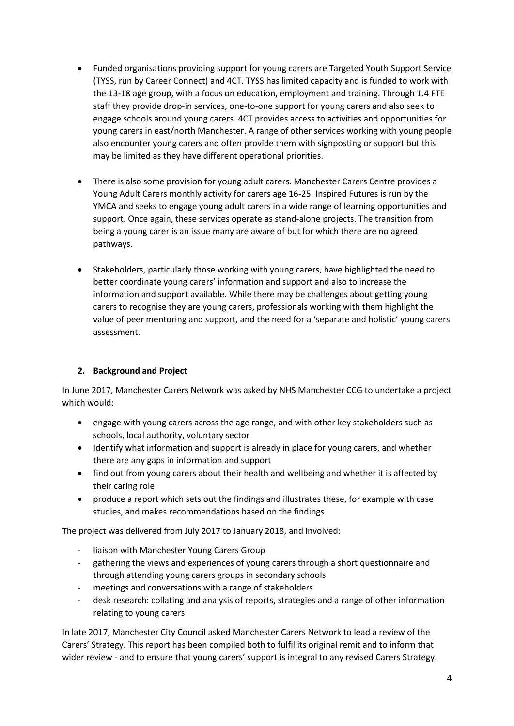- Funded organisations providing support for young carers are Targeted Youth Support Service (TYSS, run by Career Connect) and 4CT. TYSS has limited capacity and is funded to work with the 13-18 age group, with a focus on education, employment and training. Through 1.4 FTE staff they provide drop-in services, one-to-one support for young carers and also seek to engage schools around young carers. 4CT provides access to activities and opportunities for young carers in east/north Manchester. A range of other services working with young people also encounter young carers and often provide them with signposting or support but this may be limited as they have different operational priorities.
- There is also some provision for young adult carers. Manchester Carers Centre provides a Young Adult Carers monthly activity for carers age 16-25. Inspired Futures is run by the YMCA and seeks to engage young adult carers in a wide range of learning opportunities and support. Once again, these services operate as stand-alone projects. The transition from being a young carer is an issue many are aware of but for which there are no agreed pathways.
- Stakeholders, particularly those working with young carers, have highlighted the need to better coordinate young carers' information and support and also to increase the information and support available. While there may be challenges about getting young carers to recognise they are young carers, professionals working with them highlight the value of peer mentoring and support, and the need for a 'separate and holistic' young carers assessment.

# **2. Background and Project**

In June 2017, Manchester Carers Network was asked by NHS Manchester CCG to undertake a project which would:

- engage with young carers across the age range, and with other key stakeholders such as schools, local authority, voluntary sector
- Identify what information and support is already in place for young carers, and whether there are any gaps in information and support
- find out from young carers about their health and wellbeing and whether it is affected by their caring role
- produce a report which sets out the findings and illustrates these, for example with case studies, and makes recommendations based on the findings

The project was delivered from July 2017 to January 2018, and involved:

- liaison with Manchester Young Carers Group
- gathering the views and experiences of young carers through a short questionnaire and through attending young carers groups in secondary schools
- meetings and conversations with a range of stakeholders
- desk research: collating and analysis of reports, strategies and a range of other information relating to young carers

In late 2017, Manchester City Council asked Manchester Carers Network to lead a review of the Carers' Strategy. This report has been compiled both to fulfil its original remit and to inform that wider review - and to ensure that young carers' support is integral to any revised Carers Strategy.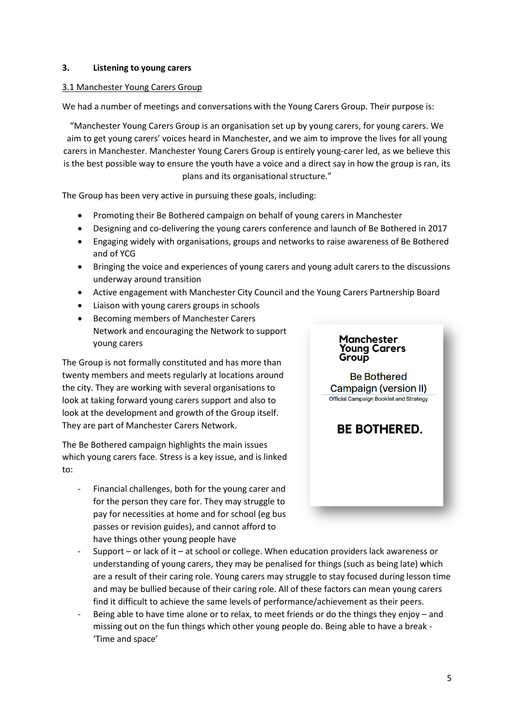#### **3. Listening to young carers**

#### 3.1 Manchester Young Carers Group

We had a number of meetings and conversations with the Young Carers Group. Their purpose is:

"Manchester Young Carers Group is an organisation set up by young carers, for young carers. We aim to get young carers' voices heard in Manchester, and we aim to improve the lives for all young carers in Manchester. Manchester Young Carers Group is entirely young-carer led, as we believe this is the best possible way to ensure the youth have a voice and a direct say in how the group is ran, its plans and its organisational structure."

The Group has been very active in pursuing these goals, including:

- Promoting their Be Bothered campaign on behalf of young carers in Manchester
- Designing and co-delivering the young carers conference and launch of Be Bothered in 2017
- Engaging widely with organisations, groups and networks to raise awareness of Be Bothered and of YCG
- Bringing the voice and experiences of young carers and young adult carers to the discussions underway around transition
- Active engagement with Manchester City Council and the Young Carers Partnership Board
- Liaison with young carers groups in schools
- Becoming members of Manchester Carers Network and encouraging the Network to support young carers

The Group is not formally constituted and has more than twenty members and meets regularly at locations around the city. They are working with several organisations to look at taking forward young carers support and also to look at the development and growth of the Group itself. They are part of Manchester Carers Network.

The Be Bothered campaign highlights the main issues which young carers face. Stress is a key issue, and is linked to:

Financial challenges, both for the young carer and for the person they care for. They may struggle to pay for necessities at home and for school (eg bus passes or revision guides), and cannot afford to have things other young people have

# Manchester **Young Carers** Group

**Be Bothered** Campaign (version II) **Official Campaign Booklet and Strategy** 

# **BE BOTHERED.**

- Support or lack of it at school or college. When education providers lack awareness or understanding of young carers, they may be penalised for things (such as being late) which are a result of their caring role. Young carers may struggle to stay focused during lesson time and may be bullied because of their caring role. All of these factors can mean young carers find it difficult to achieve the same levels of performance/achievement as their peers.
- Being able to have time alone or to relax, to meet friends or do the things they enjoy and missing out on the fun things which other young people do. Being able to have a break - 'Time and space'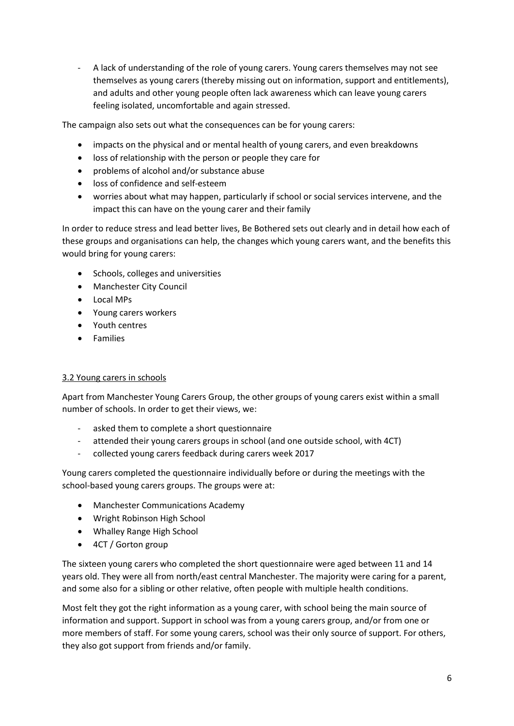- A lack of understanding of the role of young carers. Young carers themselves may not see themselves as young carers (thereby missing out on information, support and entitlements), and adults and other young people often lack awareness which can leave young carers feeling isolated, uncomfortable and again stressed.

The campaign also sets out what the consequences can be for young carers:

- impacts on the physical and or mental health of young carers, and even breakdowns
- loss of relationship with the person or people they care for
- problems of alcohol and/or substance abuse
- loss of confidence and self-esteem
- worries about what may happen, particularly if school or social services intervene, and the impact this can have on the young carer and their family

In order to reduce stress and lead better lives, Be Bothered sets out clearly and in detail how each of these groups and organisations can help, the changes which young carers want, and the benefits this would bring for young carers:

- Schools, colleges and universities
- Manchester City Council
- Local MPs
- Young carers workers
- Youth centres
- Families

# 3.2 Young carers in schools

Apart from Manchester Young Carers Group, the other groups of young carers exist within a small number of schools. In order to get their views, we:

- asked them to complete a short questionnaire
- attended their young carers groups in school (and one outside school, with 4CT)
- collected young carers feedback during carers week 2017

Young carers completed the questionnaire individually before or during the meetings with the school-based young carers groups. The groups were at:

- Manchester Communications Academy
- Wright Robinson High School
- Whalley Range High School
- 4CT / Gorton group

The sixteen young carers who completed the short questionnaire were aged between 11 and 14 years old. They were all from north/east central Manchester. The majority were caring for a parent, and some also for a sibling or other relative, often people with multiple health conditions.

Most felt they got the right information as a young carer, with school being the main source of information and support. Support in school was from a young carers group, and/or from one or more members of staff. For some young carers, school was their only source of support. For others, they also got support from friends and/or family.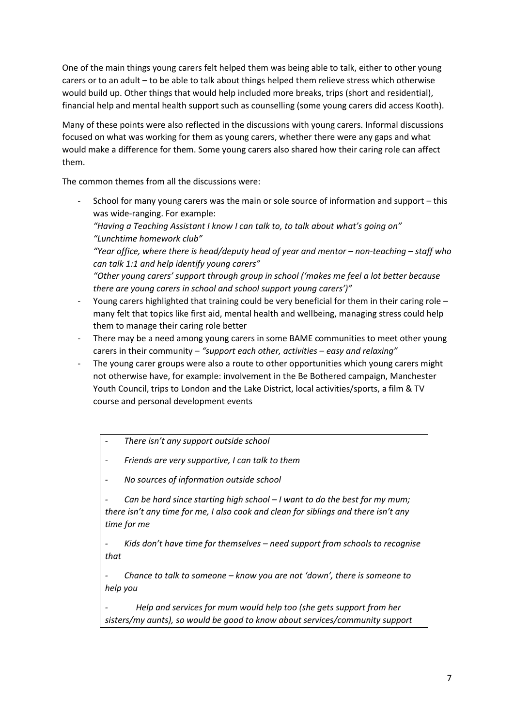One of the main things young carers felt helped them was being able to talk, either to other young carers or to an adult – to be able to talk about things helped them relieve stress which otherwise would build up. Other things that would help included more breaks, trips (short and residential), financial help and mental health support such as counselling (some young carers did access Kooth).

Many of these points were also reflected in the discussions with young carers. Informal discussions focused on what was working for them as young carers, whether there were any gaps and what would make a difference for them. Some young carers also shared how their caring role can affect them.

The common themes from all the discussions were:

- School for many young carers was the main or sole source of information and support – this was wide-ranging. For example:

*"Having a Teaching Assistant I know I can talk to, to talk about what's going on" "Lunchtime homework club"*

*"Year office, where there is head/deputy head of year and mentor – non-teaching – staff who can talk 1:1 and help identify young carers"*

*"Other young carers' support through group in school ('makes me feel a lot better because there are young carers in school and school support young carers')"*

- Young carers highlighted that training could be very beneficial for them in their caring role many felt that topics like first aid, mental health and wellbeing, managing stress could help them to manage their caring role better
- There may be a need among young carers in some BAME communities to meet other young carers in their community – *"support each other, activities – easy and relaxing"*
- The young carer groups were also a route to other opportunities which young carers might not otherwise have, for example: involvement in the Be Bothered campaign, Manchester Youth Council, trips to London and the Lake District, local activities/sports, a film & TV course and personal development events

*- There isn't any support outside school*

*- Friends are very supportive, I can talk to them*

*- No sources of information outside school*

*- Can be hard since starting high school – I want to do the best for my mum; there isn't any time for me, I also cook and clean for siblings and there isn't any time for me*

*- Kids don't have time for themselves – need support from schools to recognise that*

*- Chance to talk to someone – know you are not 'down', there is someone to help you*

*- Help and services for mum would help too (she gets support from her sisters/my aunts), so would be good to know about services/community support*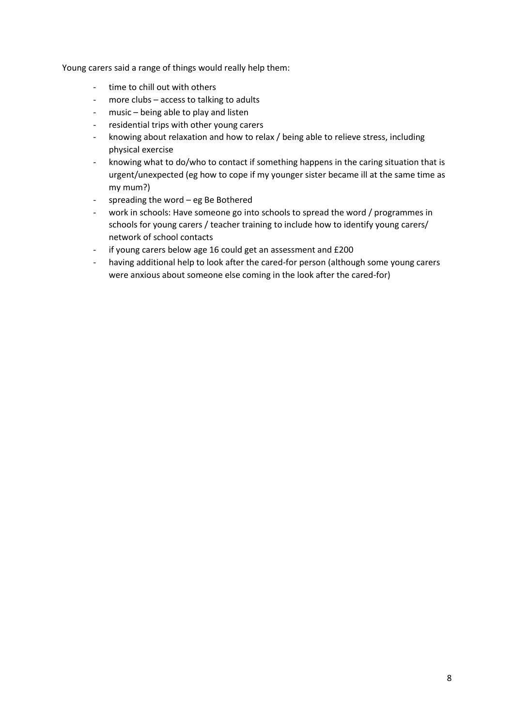Young carers said a range of things would really help them:

- time to chill out with others
- more clubs access to talking to adults
- music being able to play and listen
- residential trips with other young carers
- knowing about relaxation and how to relax / being able to relieve stress, including physical exercise
- knowing what to do/who to contact if something happens in the caring situation that is urgent/unexpected (eg how to cope if my younger sister became ill at the same time as my mum?)
- spreading the word eg Be Bothered
- work in schools: Have someone go into schools to spread the word / programmes in schools for young carers / teacher training to include how to identify young carers/ network of school contacts
- if young carers below age 16 could get an assessment and £200
- having additional help to look after the cared-for person (although some young carers were anxious about someone else coming in the look after the cared-for)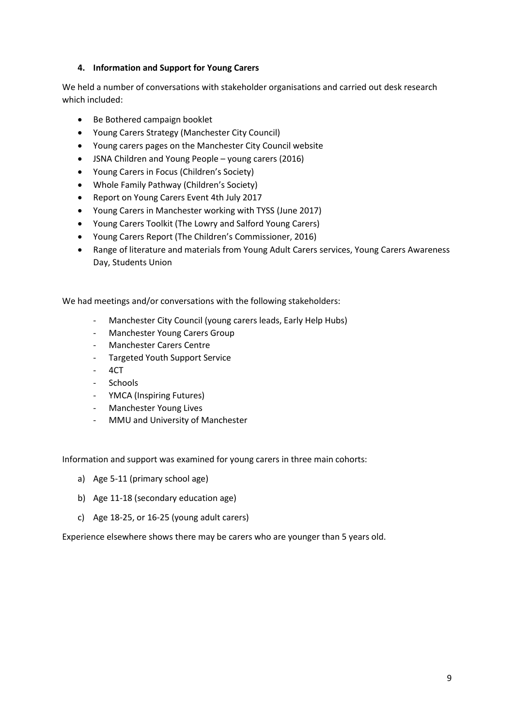## **4. Information and Support for Young Carers**

We held a number of conversations with stakeholder organisations and carried out desk research which included:

- Be Bothered campaign booklet
- Young Carers Strategy (Manchester City Council)
- Young carers pages on the Manchester City Council website
- JSNA Children and Young People young carers (2016)
- Young Carers in Focus (Children's Society)
- Whole Family Pathway (Children's Society)
- Report on Young Carers Event 4th July 2017
- Young Carers in Manchester working with TYSS (June 2017)
- Young Carers Toolkit (The Lowry and Salford Young Carers)
- Young Carers Report (The Children's Commissioner, 2016)
- Range of literature and materials from Young Adult Carers services, Young Carers Awareness Day, Students Union

We had meetings and/or conversations with the following stakeholders:

- Manchester City Council (young carers leads, Early Help Hubs)
- Manchester Young Carers Group
- Manchester Carers Centre
- Targeted Youth Support Service
- 4CT
- Schools
- YMCA (Inspiring Futures)
- Manchester Young Lives
- MMU and University of Manchester

Information and support was examined for young carers in three main cohorts:

- a) Age 5-11 (primary school age)
- b) Age 11-18 (secondary education age)
- c) Age 18-25, or 16-25 (young adult carers)

Experience elsewhere shows there may be carers who are younger than 5 years old.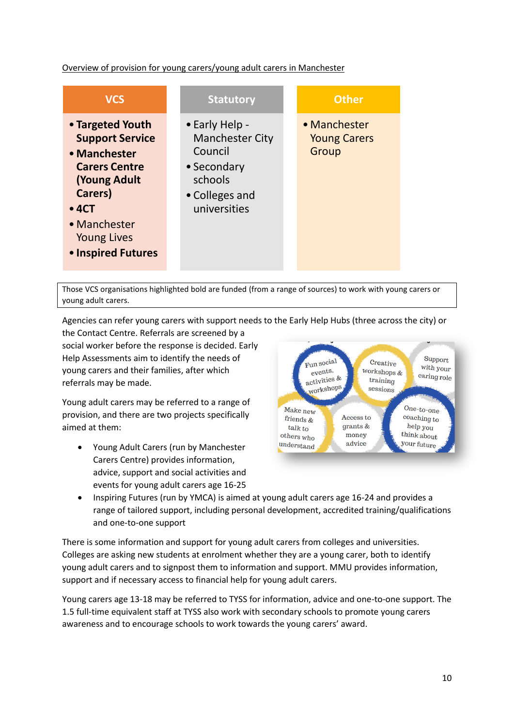# Overview of provision for young carers/young adult carers in Manchester

| <b>VCS</b>                                                                                                                                                                              | <b>Statutory</b>                                                                                                | <b>Other</b>                                 |
|-----------------------------------------------------------------------------------------------------------------------------------------------------------------------------------------|-----------------------------------------------------------------------------------------------------------------|----------------------------------------------|
| • Targeted Youth<br><b>Support Service</b><br>• Manchester<br><b>Carers Centre</b><br><b>Young Adult</b><br>Carers)<br>•4CT<br>• Manchester<br><b>Young Lives</b><br>• Inspired Futures | • Early Help -<br><b>Manchester City</b><br>Council<br>• Secondary<br>schools<br>• Colleges and<br>universities | • Manchester<br><b>Young Carers</b><br>Group |

Those VCS organisations highlighted bold are funded (from a range of sources) to work with young carers or young adult carers.

Agencies can refer young carers with support needs to the Early Help Hubs (three across the city) or

the Contact Centre. Referrals are screened by a social worker before the response is decided. Early Help Assessments aim to identify the needs of young carers and their families, after which referrals may be made.

Young adult carers may be referred to a range of provision, and there are two projects specifically aimed at them:

 Young Adult Carers (run by Manchester Carers Centre) provides information, advice, support and social activities and events for young adult carers age 16-25



• Inspiring Futures (run by YMCA) is aimed at young adult carers age 16-24 and provides a range of tailored support, including personal development, accredited training/qualifications and one-to-one support

There is some information and support for young adult carers from colleges and universities. Colleges are asking new students at enrolment whether they are a young carer, both to identify young adult carers and to signpost them to information and support. MMU provides information, support and if necessary access to financial help for young adult carers.

Young carers age 13-18 may be referred to TYSS for information, advice and one-to-one support. The 1.5 full-time equivalent staff at TYSS also work with secondary schools to promote young carers awareness and to encourage schools to work towards the young carers' award.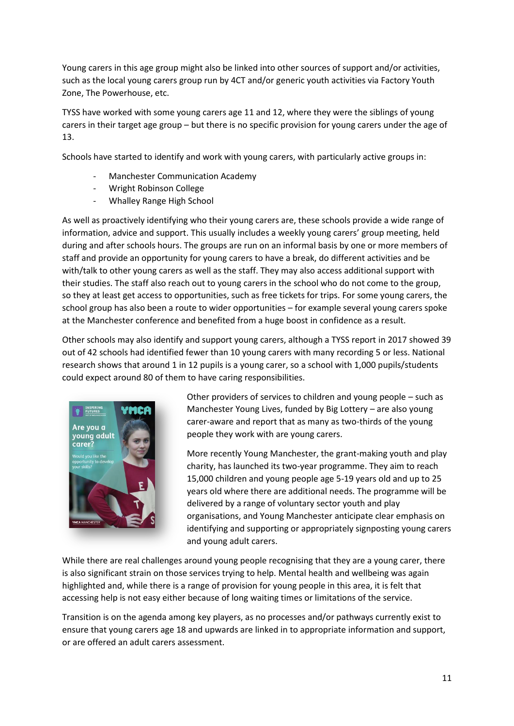Young carers in this age group might also be linked into other sources of support and/or activities, such as the local young carers group run by 4CT and/or generic youth activities via Factory Youth Zone, The Powerhouse, etc.

TYSS have worked with some young carers age 11 and 12, where they were the siblings of young carers in their target age group – but there is no specific provision for young carers under the age of 13.

Schools have started to identify and work with young carers, with particularly active groups in:

- Manchester Communication Academy
- Wright Robinson College
- Whalley Range High School

As well as proactively identifying who their young carers are, these schools provide a wide range of information, advice and support. This usually includes a weekly young carers' group meeting, held during and after schools hours. The groups are run on an informal basis by one or more members of staff and provide an opportunity for young carers to have a break, do different activities and be with/talk to other young carers as well as the staff. They may also access additional support with their studies. The staff also reach out to young carers in the school who do not come to the group, so they at least get access to opportunities, such as free tickets for trips. For some young carers, the school group has also been a route to wider opportunities – for example several young carers spoke at the Manchester conference and benefited from a huge boost in confidence as a result.

Other schools may also identify and support young carers, although a TYSS report in 2017 showed 39 out of 42 schools had identified fewer than 10 young carers with many recording 5 or less. National research shows that around 1 in 12 pupils is a young carer, so a school with 1,000 pupils/students could expect around 80 of them to have caring responsibilities.



Other providers of services to children and young people – such as Manchester Young Lives, funded by Big Lottery – are also young carer-aware and report that as many as two-thirds of the young people they work with are young carers.

More recently Young Manchester, the grant-making youth and play charity, has launched its two-year programme. They aim to reach 15,000 children and young people age 5-19 years old and up to 25 years old where there are additional needs. The programme will be delivered by a range of voluntary sector youth and play organisations, and Young Manchester anticipate clear emphasis on identifying and supporting or appropriately signposting young carers and young adult carers.

While there are real challenges around young people recognising that they are a young carer, there is also significant strain on those services trying to help. Mental health and wellbeing was again highlighted and, while there is a range of provision for young people in this area, it is felt that accessing help is not easy either because of long waiting times or limitations of the service.

Transition is on the agenda among key players, as no processes and/or pathways currently exist to ensure that young carers age 18 and upwards are linked in to appropriate information and support, or are offered an adult carers assessment.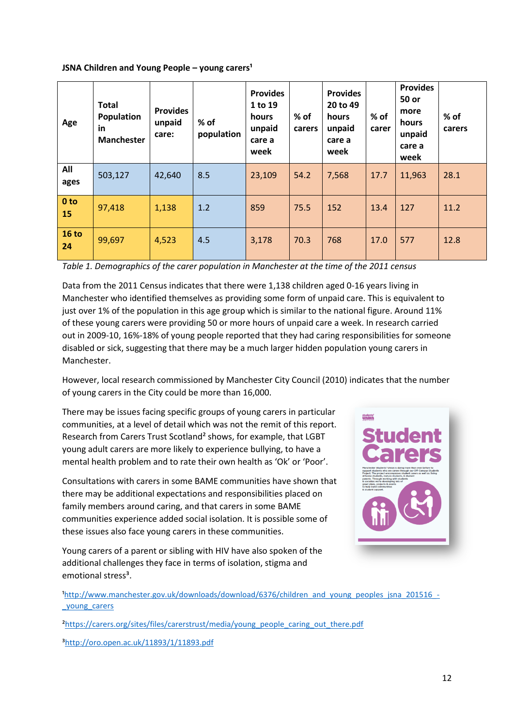#### **JSNA Children and Young People – young carers<sup>1</sup>**

| Age                | <b>Total</b><br>Population<br>in<br><b>Manchester</b> | <b>Provides</b><br>unpaid<br>care: | $%$ of<br>population | <b>Provides</b><br>1 to 19<br>hours<br>unpaid<br>care a<br>week | $%$ of<br>carers | <b>Provides</b><br>20 to 49<br>hours<br>unpaid<br>care a<br>week | % of<br>carer | <b>Provides</b><br>50 or<br>more<br>hours<br>unpaid<br>care a<br>week | % of<br>carers |
|--------------------|-------------------------------------------------------|------------------------------------|----------------------|-----------------------------------------------------------------|------------------|------------------------------------------------------------------|---------------|-----------------------------------------------------------------------|----------------|
| All<br>ages        | 503,127                                               | 42,640                             | 8.5                  | 23,109                                                          | 54.2             | 7,568                                                            | 17.7          | 11,963                                                                | 28.1           |
| 0 to<br>15         | 97,418                                                | 1,138                              | 1.2                  | 859                                                             | 75.5             | 152                                                              | 13.4          | 127                                                                   | 11.2           |
| <b>16 to</b><br>24 | 99,697                                                | 4,523                              | 4.5                  | 3,178                                                           | 70.3             | 768                                                              | 17.0          | 577                                                                   | 12.8           |

*Table 1. Demographics of the carer population in Manchester at the time of the 2011 census*

Data from the 2011 Census indicates that there were 1,138 children aged 0-16 years living in Manchester who identified themselves as providing some form of unpaid care. This is equivalent to just over 1% of the population in this age group which is similar to the national figure. Around 11% of these young carers were providing 50 or more hours of unpaid care a week. In research carried out in 2009-10, 16%-18% of young people reported that they had caring responsibilities for someone disabled or sick, suggesting that there may be a much larger hidden population young carers in Manchester.

However, local research commissioned by Manchester City Council (2010) indicates that the number of young carers in the City could be more than 16,000.

There may be issues facing specific groups of young carers in particular communities, at a level of detail which was not the remit of this report. Research from Carers Trust Scotland² shows, for example, that LGBT young adult carers are more likely to experience bullying, to have a mental health problem and to rate their own health as 'Ok' or 'Poor'.

Consultations with carers in some BAME communities have shown that there may be additional expectations and responsibilities placed on family members around caring, and that carers in some BAME communities experience added social isolation. It is possible some of these issues also face young carers in these communities.



Young carers of a parent or sibling with HIV have also spoken of the additional challenges they face in terms of isolation, stigma and emotional stress<sup>3</sup>.

<sup>1</sup>http://www.manchester.gov.uk/downloads/download/6376/children\_and\_young\_peoples\_jsna\_201516\_-[\\_young\\_carers](http://www.manchester.gov.uk/downloads/download/6376/children_and_young_peoples_jsna_201516_-_young_carers)

<sup>2</sup>https://carers.org/sites/files/carerstrust/media/young\_people\_caring\_out\_there.pdf

[³http://oro.open.ac.uk/11893/1/11893.pdf](http://oro.open.ac.uk/11893/1/11893.pdf)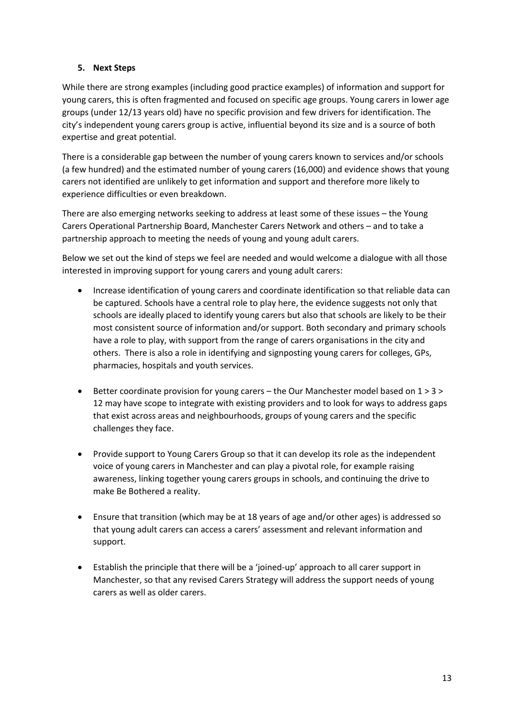# **5. Next Steps**

While there are strong examples (including good practice examples) of information and support for young carers, this is often fragmented and focused on specific age groups. Young carers in lower age groups (under 12/13 years old) have no specific provision and few drivers for identification. The city's independent young carers group is active, influential beyond its size and is a source of both expertise and great potential.

There is a considerable gap between the number of young carers known to services and/or schools (a few hundred) and the estimated number of young carers (16,000) and evidence shows that young carers not identified are unlikely to get information and support and therefore more likely to experience difficulties or even breakdown.

There are also emerging networks seeking to address at least some of these issues – the Young Carers Operational Partnership Board, Manchester Carers Network and others – and to take a partnership approach to meeting the needs of young and young adult carers.

Below we set out the kind of steps we feel are needed and would welcome a dialogue with all those interested in improving support for young carers and young adult carers:

- Increase identification of young carers and coordinate identification so that reliable data can be captured. Schools have a central role to play here, the evidence suggests not only that schools are ideally placed to identify young carers but also that schools are likely to be their most consistent source of information and/or support. Both secondary and primary schools have a role to play, with support from the range of carers organisations in the city and others. There is also a role in identifying and signposting young carers for colleges, GPs, pharmacies, hospitals and youth services.
- **•** Better coordinate provision for young carers the Our Manchester model based on  $1 > 3 > 3$ 12 may have scope to integrate with existing providers and to look for ways to address gaps that exist across areas and neighbourhoods, groups of young carers and the specific challenges they face.
- Provide support to Young Carers Group so that it can develop its role as the independent voice of young carers in Manchester and can play a pivotal role, for example raising awareness, linking together young carers groups in schools, and continuing the drive to make Be Bothered a reality.
- Ensure that transition (which may be at 18 years of age and/or other ages) is addressed so that young adult carers can access a carers' assessment and relevant information and support.
- Establish the principle that there will be a 'joined-up' approach to all carer support in Manchester, so that any revised Carers Strategy will address the support needs of young carers as well as older carers.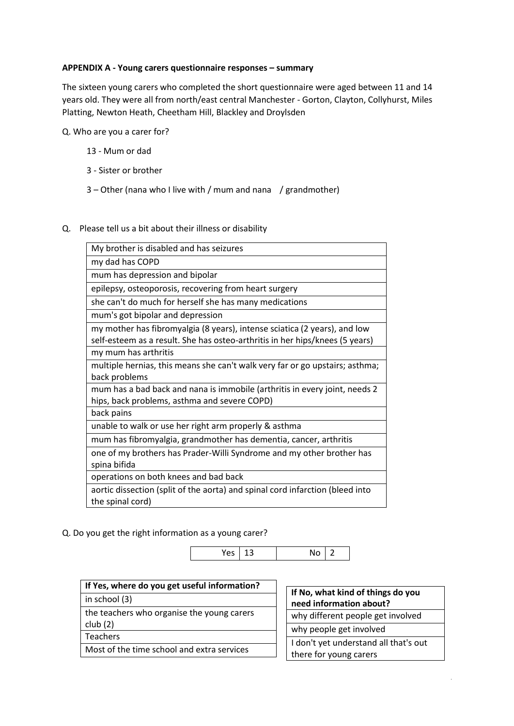#### **APPENDIX A - Young carers questionnaire responses – summary**

The sixteen young carers who completed the short questionnaire were aged between 11 and 14 years old. They were all from north/east central Manchester - Gorton, Clayton, Collyhurst, Miles Platting, Newton Heath, Cheetham Hill, Blackley and Droylsden

Q. Who are you a carer for?

- 13 Mum or dad
- 3 Sister or brother
- 3 Other (nana who I live with / mum and nana / grandmother)

#### Q. Please tell us a bit about their illness or disability

| My brother is disabled and has seizures                                                                                                                   |
|-----------------------------------------------------------------------------------------------------------------------------------------------------------|
| my dad has COPD                                                                                                                                           |
| mum has depression and bipolar                                                                                                                            |
| epilepsy, osteoporosis, recovering from heart surgery                                                                                                     |
| she can't do much for herself she has many medications                                                                                                    |
| mum's got bipolar and depression                                                                                                                          |
| my mother has fibromyalgia (8 years), intense sciatica (2 years), and low<br>self-esteem as a result. She has osteo-arthritis in her hips/knees (5 years) |
| my mum has arthritis                                                                                                                                      |
| multiple hernias, this means she can't walk very far or go upstairs; asthma;<br>back problems                                                             |
| mum has a bad back and nana is immobile (arthritis in every joint, needs 2<br>hips, back problems, asthma and severe COPD)                                |
| back pains                                                                                                                                                |
| unable to walk or use her right arm properly & asthma                                                                                                     |
| mum has fibromyalgia, grandmother has dementia, cancer, arthritis                                                                                         |
| one of my brothers has Prader-Willi Syndrome and my other brother has<br>spina bifida                                                                     |
| operations on both knees and bad back                                                                                                                     |
| aortic dissection (split of the aorta) and spinal cord infarction (bleed into<br>the spinal cord)                                                         |

Q. Do you get the right information as a young carer?



| If Yes, where do you get useful information? |  |
|----------------------------------------------|--|
| in school (3)                                |  |
| the teachers who organise the young carers   |  |
| club(2)                                      |  |

**Teachers** 

Most of the time school and extra services

| If No, what kind of things do you<br>need information about?    |  |  |
|-----------------------------------------------------------------|--|--|
| why different people get involved                               |  |  |
| why people get involved                                         |  |  |
| I don't yet understand all that's out<br>there for young carers |  |  |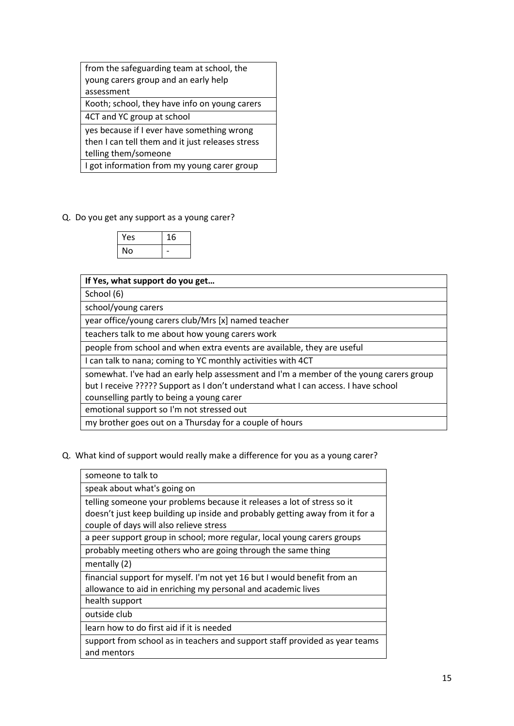| from the safeguarding team at school, the        |  |  |
|--------------------------------------------------|--|--|
| young carers group and an early help             |  |  |
| assessment                                       |  |  |
| Kooth; school, they have info on young carers    |  |  |
| 4CT and YC group at school                       |  |  |
| yes because if I ever have something wrong       |  |  |
| then I can tell them and it just releases stress |  |  |
|                                                  |  |  |

telling them/someone

I got information from my young carer group

Q. Do you get any support as a young carer?

| Yes | 16 |
|-----|----|
| No  |    |

| If Yes, what support do you get                                                        |
|----------------------------------------------------------------------------------------|
| School (6)                                                                             |
| school/young carers                                                                    |
| year office/young carers club/Mrs [x] named teacher                                    |
| teachers talk to me about how young carers work                                        |
| people from school and when extra events are available, they are useful                |
| I can talk to nana; coming to YC monthly activities with 4CT                           |
| somewhat. I've had an early help assessment and I'm a member of the young carers group |
| but I receive ????? Support as I don't understand what I can access. I have school     |
| counselling partly to being a young carer                                              |
| emotional support so I'm not stressed out                                              |
| my brother goes out on a Thursday for a couple of hours                                |

Q. What kind of support would really make a difference for you as a young carer?

| someone to talk to                                                                                                                                                                                 |
|----------------------------------------------------------------------------------------------------------------------------------------------------------------------------------------------------|
| speak about what's going on                                                                                                                                                                        |
| telling someone your problems because it releases a lot of stress so it<br>doesn't just keep building up inside and probably getting away from it for a<br>couple of days will also relieve stress |
| a peer support group in school; more regular, local young carers groups                                                                                                                            |
| probably meeting others who are going through the same thing                                                                                                                                       |
| mentally (2)                                                                                                                                                                                       |
| financial support for myself. I'm not yet 16 but I would benefit from an<br>allowance to aid in enriching my personal and academic lives                                                           |
| health support                                                                                                                                                                                     |
| outside club                                                                                                                                                                                       |
| learn how to do first aid if it is needed                                                                                                                                                          |
| support from school as in teachers and support staff provided as year teams<br>and mentors                                                                                                         |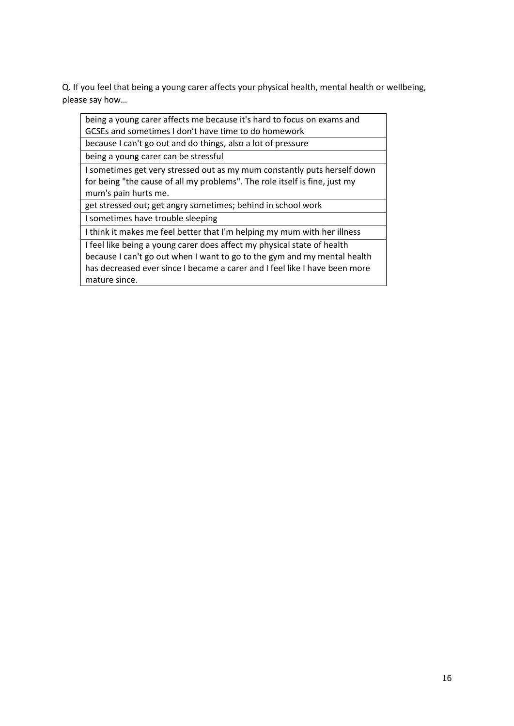Q. If you feel that being a young carer affects your physical health, mental health or wellbeing, please say how…

 $\overline{a}$ 

| being a young carer affects me because it's hard to focus on exams and     |
|----------------------------------------------------------------------------|
| GCSEs and sometimes I don't have time to do homework                       |
| because I can't go out and do things, also a lot of pressure               |
| being a young carer can be stressful                                       |
| I sometimes get very stressed out as my mum constantly puts herself down   |
| for being "the cause of all my problems". The role itself is fine, just my |
| mum's pain hurts me.                                                       |
| get stressed out; get angry sometimes; behind in school work               |
| I sometimes have trouble sleeping                                          |
| I think it makes me feel better that I'm helping my mum with her illness   |
| I feel like being a young carer does affect my physical state of health    |
| because I can't go out when I want to go to the gym and my mental health   |
| has decreased ever since I became a carer and I feel like I have been more |
| mature since.                                                              |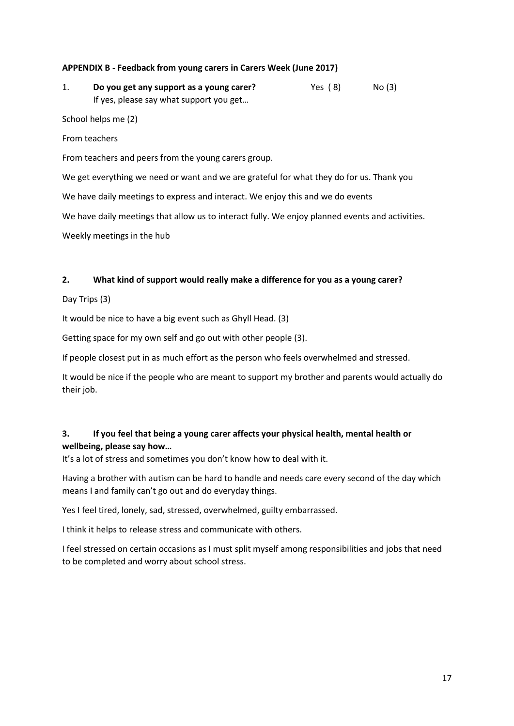#### **APPENDIX B - Feedback from young carers in Carers Week (June 2017)**

1. **Do you get any support as a young carer?** Yes (8) No (3) If yes, please say what support you get…

School helps me (2)

From teachers

From teachers and peers from the young carers group.

We get everything we need or want and we are grateful for what they do for us. Thank you

We have daily meetings to express and interact. We enjoy this and we do events

We have daily meetings that allow us to interact fully. We enjoy planned events and activities.

Weekly meetings in the hub

#### **2. What kind of support would really make a difference for you as a young carer?**

Day Trips (3)

It would be nice to have a big event such as Ghyll Head. (3)

Getting space for my own self and go out with other people (3).

If people closest put in as much effort as the person who feels overwhelmed and stressed.

It would be nice if the people who are meant to support my brother and parents would actually do their job.

# **3. If you feel that being a young carer affects your physical health, mental health or wellbeing, please say how…**

It's a lot of stress and sometimes you don't know how to deal with it.

Having a brother with autism can be hard to handle and needs care every second of the day which means I and family can't go out and do everyday things.

Yes I feel tired, lonely, sad, stressed, overwhelmed, guilty embarrassed.

I think it helps to release stress and communicate with others.

I feel stressed on certain occasions as I must split myself among responsibilities and jobs that need to be completed and worry about school stress.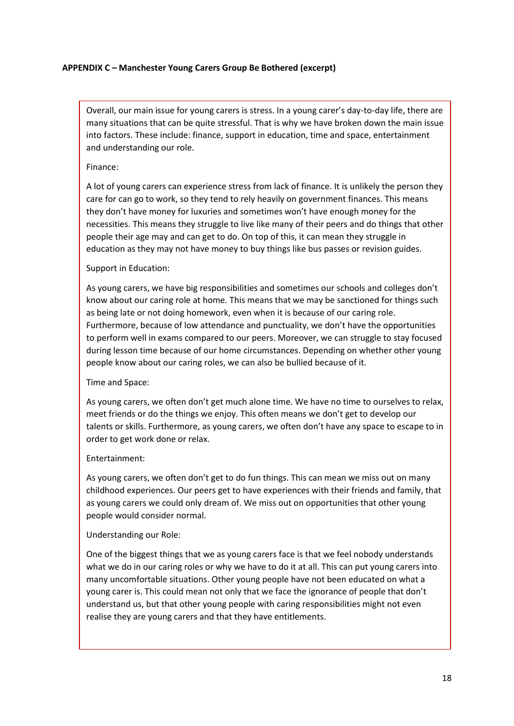#### **APPENDIX C – Manchester Young Carers Group Be Bothered (excerpt)**

Overall, our main issue for young carers is stress. In a young carer's day-to-day life, there are many situations that can be quite stressful. That is why we have broken down the main issue into factors. These include: finance, support in education, time and space, entertainment and understanding our role.

#### Finance:

A lot of young carers can experience stress from lack of finance. It is unlikely the person they care for can go to work, so they tend to rely heavily on government finances. This means they don't have money for luxuries and sometimes won't have enough money for the necessities. This means they struggle to live like many of their peers and do things that other people their age may and can get to do. On top of this, it can mean they struggle in education as they may not have money to buy things like bus passes or revision guides.

#### Support in Education:

As young carers, we have big responsibilities and sometimes our schools and colleges don't know about our caring role at home. This means that we may be sanctioned for things such as being late or not doing homework, even when it is because of our caring role. Furthermore, because of low attendance and punctuality, we don't have the opportunities to perform well in exams compared to our peers. Moreover, we can struggle to stay focused during lesson time because of our home circumstances. Depending on whether other young people know about our caring roles, we can also be bullied because of it.

#### Time and Space:

As young carers, we often don't get much alone time. We have no time to ourselves to relax, meet friends or do the things we enjoy. This often means we don't get to develop our talents or skills. Furthermore, as young carers, we often don't have any space to escape to in order to get work done or relax.

# Entertainment:

As young carers, we often don't get to do fun things. This can mean we miss out on many childhood experiences. Our peers get to have experiences with their friends and family, that as young carers we could only dream of. We miss out on opportunities that other young people would consider normal.

#### Understanding our Role:

One of the biggest things that we as young carers face is that we feel nobody understands what we do in our caring roles or why we have to do it at all. This can put young carers into many uncomfortable situations. Other young people have not been educated on what a young carer is. This could mean not only that we face the ignorance of people that don't understand us, but that other young people with caring responsibilities might not even realise they are young carers and that they have entitlements.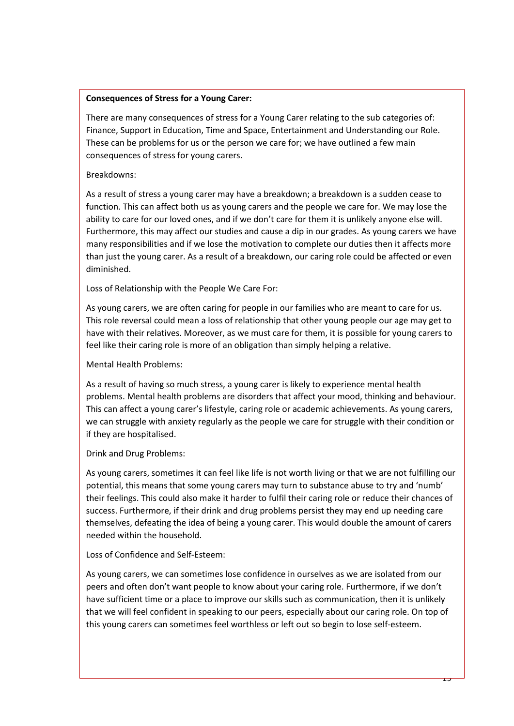#### **Consequences of Stress for a Young Carer:**

There are many consequences of stress for a Young Carer relating to the sub categories of: Finance, Support in Education, Time and Space, Entertainment and Understanding our Role. These can be problems for us or the person we care for; we have outlined a few main consequences of stress for young carers.

#### Breakdowns:

As a result of stress a young carer may have a breakdown; a breakdown is a sudden cease to function. This can affect both us as young carers and the people we care for. We may lose the ability to care for our loved ones, and if we don't care for them it is unlikely anyone else will. Furthermore, this may affect our studies and cause a dip in our grades. As young carers we have many responsibilities and if we lose the motivation to complete our duties then it affects more than just the young carer. As a result of a breakdown, our caring role could be affected or even diminished.

Loss of Relationship with the People We Care For:

As young carers, we are often caring for people in our families who are meant to care for us. This role reversal could mean a loss of relationship that other young people our age may get to have with their relatives. Moreover, as we must care for them, it is possible for young carers to feel like their caring role is more of an obligation than simply helping a relative.

Mental Health Problems:

As a result of having so much stress, a young carer is likely to experience mental health problems. Mental health problems are disorders that affect your mood, thinking and behaviour. This can affect a young carer's lifestyle, caring role or academic achievements. As young carers, we can struggle with anxiety regularly as the people we care for struggle with their condition or if they are hospitalised.

Drink and Drug Problems:

As young carers, sometimes it can feel like life is not worth living or that we are not fulfilling our potential, this means that some young carers may turn to substance abuse to try and 'numb' their feelings. This could also make it harder to fulfil their caring role or reduce their chances of success. Furthermore, if their drink and drug problems persist they may end up needing care themselves, defeating the idea of being a young carer. This would double the amount of carers needed within the household.

Loss of Confidence and Self-Esteem:

As young carers, we can sometimes lose confidence in ourselves as we are isolated from our peers and often don't want people to know about your caring role. Furthermore, if we don't have sufficient time or a place to improve our skills such as communication, then it is unlikely that we will feel confident in speaking to our peers, especially about our caring role. On top of this young carers can sometimes feel worthless or left out so begin to lose self-esteem.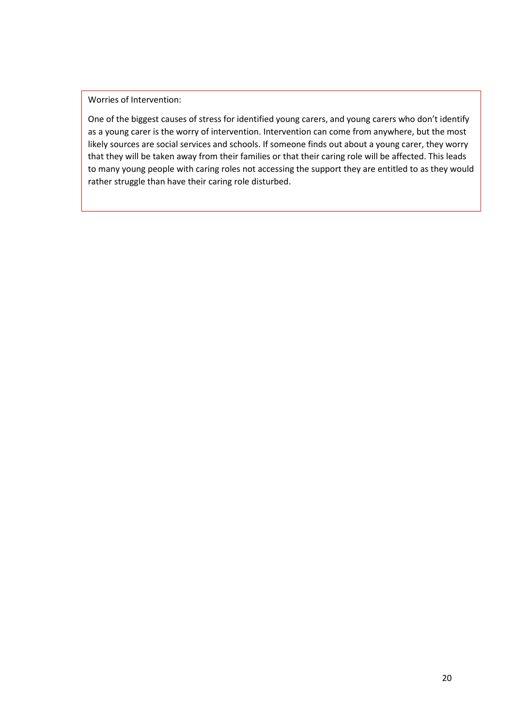# Worries of Intervention:

One of the biggest causes of stress for identified young carers, and young carers who don't identify as a young carer is the worry of intervention. Intervention can come from anywhere, but the most likely sources are social services and schools. If someone finds out about a young carer, they worry that they will be taken away from their families or that their caring role will be affected. This leads to many young people with caring roles not accessing the support they are entitled to as they would rather struggle than have their caring role disturbed.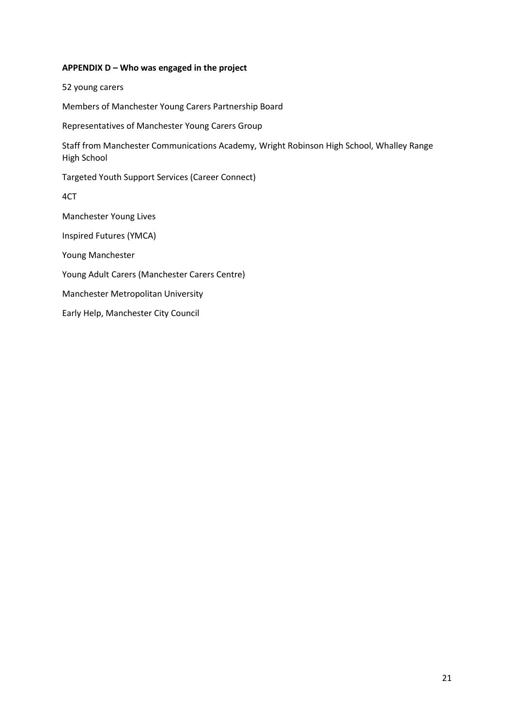#### **APPENDIX D – Who was engaged in the project**

52 young carers

Members of Manchester Young Carers Partnership Board

Representatives of Manchester Young Carers Group

Staff from Manchester Communications Academy, Wright Robinson High School, Whalley Range High School

Targeted Youth Support Services (Career Connect)

4CT

Manchester Young Lives

Inspired Futures (YMCA)

Young Manchester

Young Adult Carers (Manchester Carers Centre)

Manchester Metropolitan University

Early Help, Manchester City Council